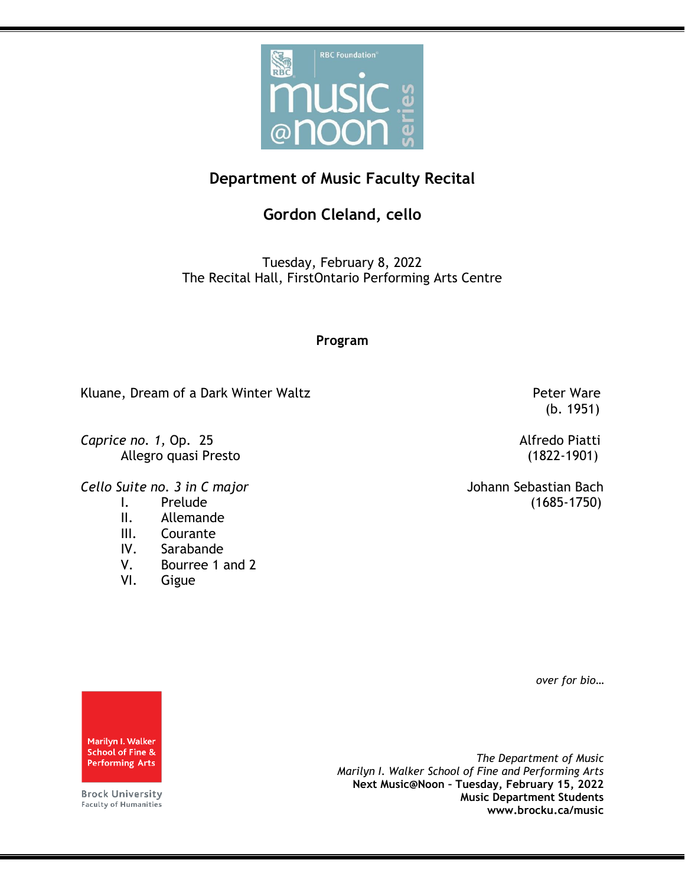

## **Department of Music Faculty Recital**

## **Gordon Cleland, cello**

Tuesday, February 8, 2022 The Recital Hall, FirstOntario Performing Arts Centre

## **Program**

Kluane, Dream of a Dark Winter Waltz **Peter Ware** Peter Ware

**Caprice no. 1, Op. 25 Alfredo Piatti** Allegro quasi Presto (1822-1901)

*Cello Suite no. 3 in C major* Johann Sebastian Bach

- 
- II. Allemande
- III. Courante
- IV. Sarabande
- V. Bourree 1 and 2
- VI. Gigue

(b. 1951)

I. Prelude (1685-1750)

*over for bio…*

*The Department of Music Marilyn I. Walker School of Fine and Performing Arts* **Next Music@Noon – Tuesday, February 15, 2022 Music Department Students www.brocku.ca/music**



**Brock University** Faculty of Humanities